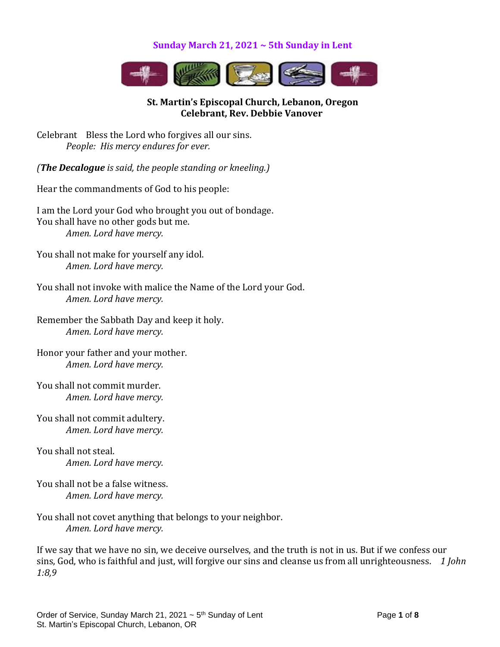#### **Sunday March 21, 2021 ~ 5th Sunday in Lent**



## **St. Martin's Episcopal Church, Lebanon, Oregon Celebrant, Rev. Debbie Vanover**

Celebrant Bless the Lord who forgives all our sins. *People: His mercy endures for ever.*

*(The Decalogue is said, the people standing or kneeling.)*

Hear the commandments of God to his people:

I am the Lord your God who brought you out of bondage. You shall have no other gods but me. *Amen. Lord have mercy.*

You shall not make for yourself any idol. *Amen. Lord have mercy.*

You shall not invoke with malice the Name of the Lord your God.  *Amen. Lord have mercy.*

Remember the Sabbath Day and keep it holy. *Amen. Lord have mercy.*

Honor your father and your mother. *Amen. Lord have mercy.*

You shall not commit murder. *Amen. Lord have mercy.*

You shall not commit adultery. *Amen. Lord have mercy.*

You shall not steal. *Amen. Lord have mercy.*

You shall not be a false witness. *Amen. Lord have mercy.*

You shall not covet anything that belongs to your neighbor. *Amen. Lord have mercy.*

If we say that we have no sin, we deceive ourselves, and the truth is not in us. But if we confess our sins, God, who is faithful and just, will forgive our sins and cleanse us from all unrighteousness. *1 John 1:8,9*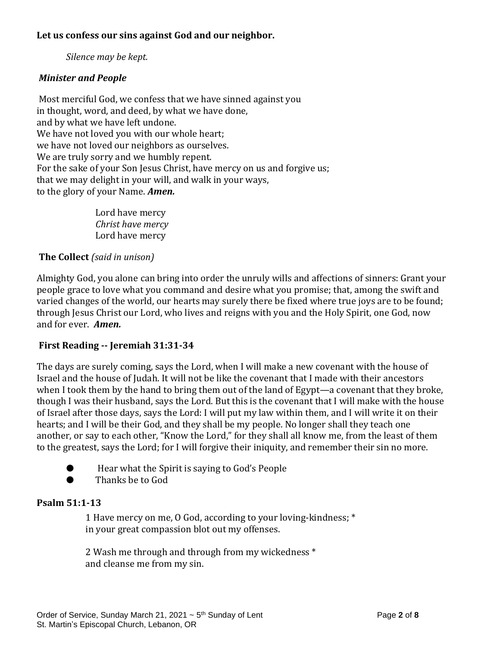## **Let us confess our sins against God and our neighbor.**

*Silence may be kept.*

## *Minister and People*

Most merciful God, we confess that we have sinned against you in thought, word, and deed, by what we have done, and by what we have left undone. We have not loved you with our whole heart; we have not loved our neighbors as ourselves. We are truly sorry and we humbly repent. For the sake of your Son Jesus Christ, have mercy on us and forgive us; that we may delight in your will, and walk in your ways, to the glory of your Name. *Amen.*

> Lord have mercy *Christ have mercy* Lord have mercy

## **The Collect** *(said in unison)*

Almighty God, you alone can bring into order the unruly wills and affections of sinners: Grant your people grace to love what you command and desire what you promise; that, among the swift and varied changes of the world, our hearts may surely there be fixed where true joys are to be found; through Jesus Christ our Lord, who lives and reigns with you and the Holy Spirit, one God, now and for ever. *Amen.*

## **First Reading -- Jeremiah 31:31-34**

The days are surely coming, says the Lord, when I will make a new covenant with the house of Israel and the house of Judah. It will not be like the covenant that I made with their ancestors when I took them by the hand to bring them out of the land of Egypt—a covenant that they broke, though I was their husband, says the Lord. But this is the covenant that I will make with the house of Israel after those days, says the Lord: I will put my law within them, and I will write it on their hearts; and I will be their God, and they shall be my people. No longer shall they teach one another, or say to each other, "Know the Lord," for they shall all know me, from the least of them to the greatest, says the Lord; for I will forgive their iniquity, and remember their sin no more.

- Hear what the Spirit is saying to God's People
- Thanks be to God

## **Psalm 51:1-13**

1 Have mercy on me, O God, according to your loving-kindness; \* in your great compassion blot out my offenses.

2 Wash me through and through from my wickedness \* and cleanse me from my sin.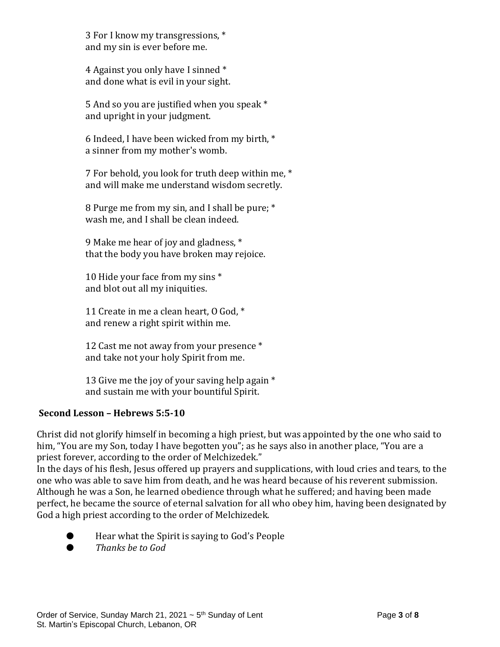3 For I know my transgressions, \* and my sin is ever before me.

4 Against you only have I sinned \* and done what is evil in your sight.

5 And so you are justified when you speak \* and upright in your judgment.

6 Indeed, I have been wicked from my birth, \* a sinner from my mother's womb.

7 For behold, you look for truth deep within me, \* and will make me understand wisdom secretly.

8 Purge me from my sin, and I shall be pure; \* wash me, and I shall be clean indeed.

9 Make me hear of joy and gladness, \* that the body you have broken may rejoice.

10 Hide your face from my sins \* and blot out all my iniquities.

11 Create in me a clean heart, O God, \* and renew a right spirit within me.

12 Cast me not away from your presence \* and take not your holy Spirit from me.

13 Give me the joy of your saving help again \* and sustain me with your bountiful Spirit.

## **Second Lesson – Hebrews 5:5-10**

Christ did not glorify himself in becoming a high priest, but was appointed by the one who said to him, "You are my Son, today I have begotten you"; as he says also in another place, "You are a priest forever, according to the order of Melchizedek."

In the days of his flesh, Jesus offered up prayers and supplications, with loud cries and tears, to the one who was able to save him from death, and he was heard because of his reverent submission. Although he was a Son, he learned obedience through what he suffered; and having been made perfect, he became the source of eternal salvation for all who obey him, having been designated by God a high priest according to the order of Melchizedek.

- Hear what the Spirit is saying to God's People
- *Thanks be to God*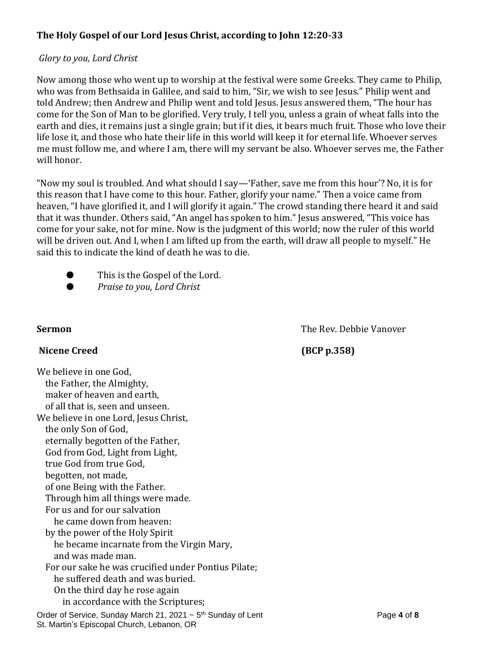# **The Holy Gospel of our Lord Jesus Christ, according to John 12:20-33**

## *Glory to you, Lord Christ*

Now among those who went up to worship at the festival were some Greeks. They came to Philip, who was from Bethsaida in Galilee, and said to him, "Sir, we wish to see Jesus." Philip went and told Andrew; then Andrew and Philip went and told Jesus. Jesus answered them, "The hour has come for the Son of Man to be glorified. Very truly, I tell you, unless a grain of wheat falls into the earth and dies, it remains just a single grain; but if it dies, it bears much fruit. Those who love their life lose it, and those who hate their life in this world will keep it for eternal life. Whoever serves me must follow me, and where I am, there will my servant be also. Whoever serves me, the Father will honor.

"Now my soul is troubled. And what should I say—'Father, save me from this hour'? No, it is for this reason that I have come to this hour. Father, glorify your name." Then a voice came from heaven, "I have glorified it, and I will glorify it again." The crowd standing there heard it and said that it was thunder. Others said, "An angel has spoken to him." Jesus answered, "This voice has come for your sake, not for mine. Now is the judgment of this world; now the ruler of this world will be driven out. And I, when I am lifted up from the earth, will draw all people to myself." He said this to indicate the kind of death he was to die.

- This is the Gospel of the Lord.
- *Praise to you, Lord Christ*

**Sermon** The Rev. Debbie Vanover

## Nicene Creed **(BCP p.358)**

Order of Service, Sunday March 21, 2021  $\sim$  5<sup>th</sup> Sunday of Lent **Page 1** 06 **8** St. Martin's Episcopal Church, Lebanon, OR We believe in one God, the Father, the Almighty, maker of heaven and earth, of all that is, seen and unseen. We believe in one Lord, Jesus Christ, the only Son of God, eternally begotten of the Father, God from God, Light from Light, true God from true God, begotten, not made, of one Being with the Father. Through him all things were made. For us and for our salvation he came down from heaven: by the power of the Holy Spirit he became incarnate from the Virgin Mary, and was made man. For our sake he was crucified under Pontius Pilate; he suffered death and was buried. On the third day he rose again in accordance with the Scriptures;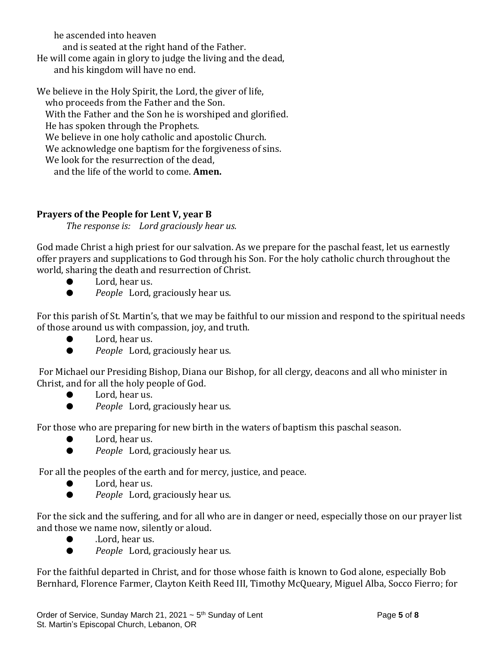he ascended into heaven

and is seated at the right hand of the Father.

He will come again in glory to judge the living and the dead, and his kingdom will have no end.

We believe in the Holy Spirit, the Lord, the giver of life,

who proceeds from the Father and the Son.

With the Father and the Son he is worshiped and glorified.

He has spoken through the Prophets.

We believe in one holy catholic and apostolic Church.

We acknowledge one baptism for the forgiveness of sins.

We look for the resurrection of the dead,

and the life of the world to come. **Amen.**

## **Prayers of the People for Lent V, year B**

*The response is: Lord graciously hear us.*

God made Christ a high priest for our salvation. As we prepare for the paschal feast, let us earnestly offer prayers and supplications to God through his Son. For the holy catholic church throughout the world, sharing the death and resurrection of Christ.

- Lord, hear us.
- *People* Lord, graciously hear us.

For this parish of St. Martin's, that we may be faithful to our mission and respond to the spiritual needs of those around us with compassion, joy, and truth.

- Lord, hear us.
- *People* Lord, graciously hear us.

For Michael our Presiding Bishop, Diana our Bishop, for all clergy, deacons and all who minister in Christ, and for all the holy people of God.

- Lord, hear us.
- *People* Lord, graciously hear us.

For those who are preparing for new birth in the waters of baptism this paschal season.

- Lord, hear us.
- *People* Lord, graciously hear us.

For all the peoples of the earth and for mercy, justice, and peace.

- Lord, hear us.
- *People* Lord, graciously hear us.

For the sick and the suffering, and for all who are in danger or need, especially those on our prayer list and those we name now, silently or aloud.

- Lord, hear us.
- *People* Lord, graciously hear us.

For the faithful departed in Christ, and for those whose faith is known to God alone, especially Bob Bernhard, Florence Farmer, Clayton Keith Reed III, Timothy McQueary, Miguel Alba, Socco Fierro; for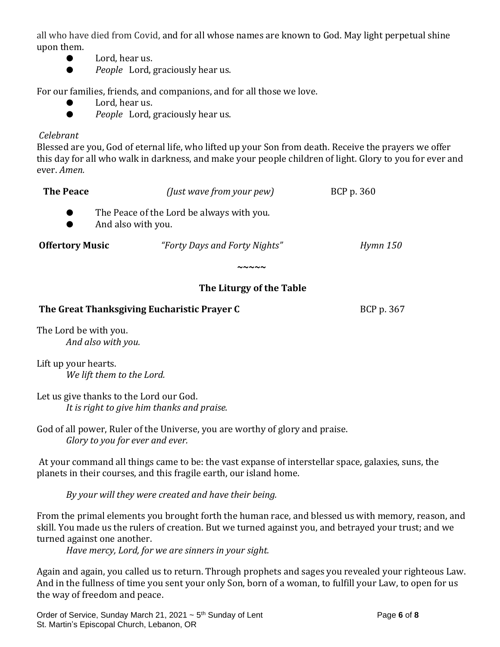all who have died from Covid, and for all whose names are known to God. May light perpetual shine upon them.

- Lord, hear us.
- *People* Lord, graciously hear us.

For our families, friends, and companions, and for all those we love.

- Lord, hear us.
- *People* Lord, graciously hear us.

## *Celebrant*

Blessed are you, God of eternal life, who lifted up your Son from death. Receive the prayers we offer this day for all who walk in darkness, and make your people children of light. Glory to you for ever and ever. *Amen.*

| <b>The Peace</b>       |                                                                 | (Just wave from your pew)     | BCP p. 360      |
|------------------------|-----------------------------------------------------------------|-------------------------------|-----------------|
|                        | The Peace of the Lord be always with you.<br>And also with you. |                               |                 |
| <b>Offertory Music</b> |                                                                 | "Forty Days and Forty Nights" | <b>Hymn 150</b> |
|                        |                                                                 |                               |                 |

# **The Liturgy of the Table**

#### **The Great Thanksgiving Eucharistic Prayer C** BCP p. 367

The Lord be with you. *And also with you.*

Lift up your hearts. *We lift them to the Lord.*

Let us give thanks to the Lord our God. *It is right to give him thanks and praise.*

God of all power, Ruler of the Universe, you are worthy of glory and praise. *Glory to you for ever and ever.*

At your command all things came to be: the vast expanse of interstellar space, galaxies, suns, the planets in their courses, and this fragile earth, our island home.

*By your will they were created and have their being.*

From the primal elements you brought forth the human race, and blessed us with memory, reason, and skill. You made us the rulers of creation. But we turned against you, and betrayed your trust; and we turned against one another.

*Have mercy, Lord, for we are sinners in your sight.*

Again and again, you called us to return. Through prophets and sages you revealed your righteous Law. And in the fullness of time you sent your only Son, born of a woman, to fulfill your Law, to open for us the way of freedom and peace.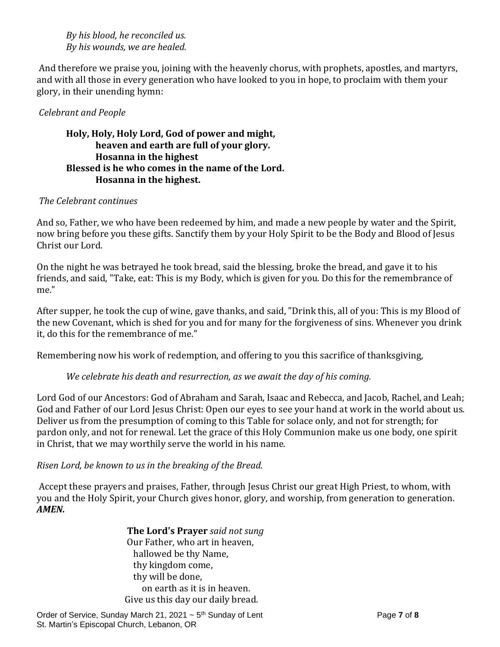#### *By his blood, he reconciled us. By his wounds, we are healed.*

And therefore we praise you, joining with the heavenly chorus, with prophets, apostles, and martyrs, and with all those in every generation who have looked to you in hope, to proclaim with them your glory, in their unending hymn:

## *Celebrant and People*

## **Holy, Holy, Holy Lord, God of power and might, heaven and earth are full of your glory. Hosanna in the highest Blessed is he who comes in the name of the Lord. Hosanna in the highest.**

## *The Celebrant continues*

And so, Father, we who have been redeemed by him, and made a new people by water and the Spirit, now bring before you these gifts. Sanctify them by your Holy Spirit to be the Body and Blood of Jesus Christ our Lord.

On the night he was betrayed he took bread, said the blessing, broke the bread, and gave it to his friends, and said, "Take, eat: This is my Body, which is given for you. Do this for the remembrance of me."

After supper, he took the cup of wine, gave thanks, and said, "Drink this, all of you: This is my Blood of the new Covenant, which is shed for you and for many for the forgiveness of sins. Whenever you drink it, do this for the remembrance of me."

Remembering now his work of redemption, and offering to you this sacrifice of thanksgiving,

## *We celebrate his death and resurrection, as we await the day of his coming.*

Lord God of our Ancestors: God of Abraham and Sarah, Isaac and Rebecca, and Jacob, Rachel, and Leah; God and Father of our Lord Jesus Christ: Open our eyes to see your hand at work in the world about us. Deliver us from the presumption of coming to this Table for solace only, and not for strength; for pardon only, and not for renewal. Let the grace of this Holy Communion make us one body, one spirit in Christ, that we may worthily serve the world in his name.

## *Risen Lord, be known to us in the breaking of the Bread.*

Accept these prayers and praises, Father, through Jesus Christ our great High Priest, to whom, with you and the Holy Spirit, your Church gives honor, glory, and worship, from generation to generation. *AMEN.*

> **The Lord's Prayer** *said not sung* Our Father, who art in heaven, hallowed be thy Name, thy kingdom come, thy will be done, on earth as it is in heaven. Give us this day our daily bread.